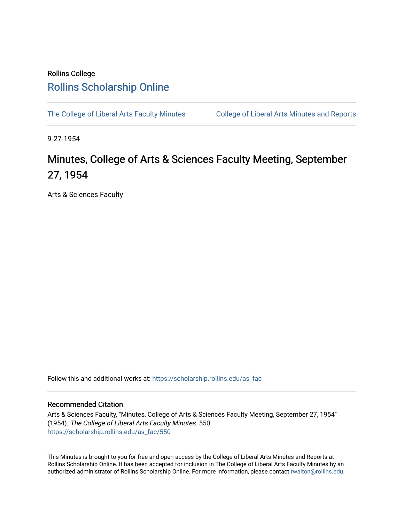## Rollins College [Rollins Scholarship Online](https://scholarship.rollins.edu/)

[The College of Liberal Arts Faculty Minutes](https://scholarship.rollins.edu/as_fac) College of Liberal Arts Minutes and Reports

9-27-1954

## Minutes, College of Arts & Sciences Faculty Meeting, September 27, 1954

Arts & Sciences Faculty

Follow this and additional works at: [https://scholarship.rollins.edu/as\\_fac](https://scholarship.rollins.edu/as_fac?utm_source=scholarship.rollins.edu%2Fas_fac%2F550&utm_medium=PDF&utm_campaign=PDFCoverPages) 

## Recommended Citation

Arts & Sciences Faculty, "Minutes, College of Arts & Sciences Faculty Meeting, September 27, 1954" (1954). The College of Liberal Arts Faculty Minutes. 550. [https://scholarship.rollins.edu/as\\_fac/550](https://scholarship.rollins.edu/as_fac/550?utm_source=scholarship.rollins.edu%2Fas_fac%2F550&utm_medium=PDF&utm_campaign=PDFCoverPages) 

This Minutes is brought to you for free and open access by the College of Liberal Arts Minutes and Reports at Rollins Scholarship Online. It has been accepted for inclusion in The College of Liberal Arts Faculty Minutes by an authorized administrator of Rollins Scholarship Online. For more information, please contact [rwalton@rollins.edu](mailto:rwalton@rollins.edu).